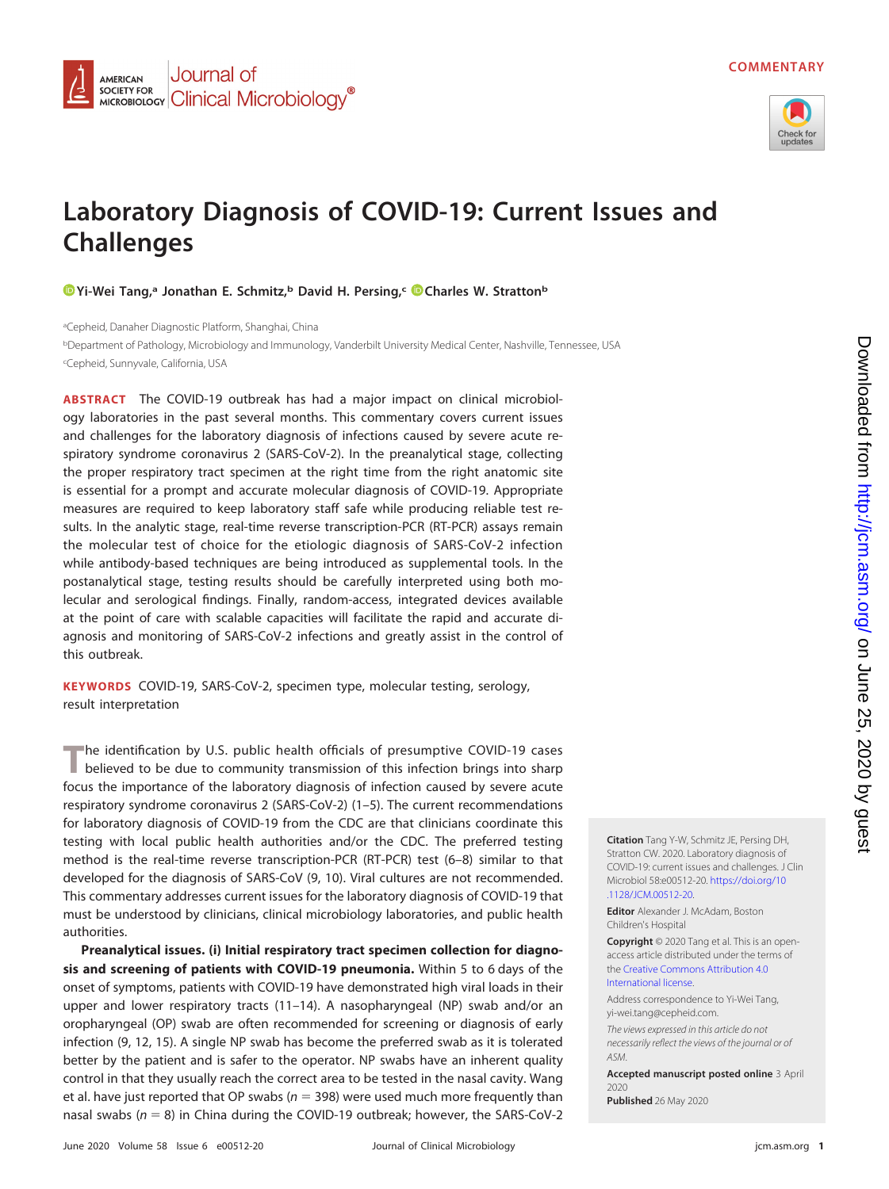

## **Laboratory Diagnosis of COVID-19: Current Issues and Challenges**

*O*Yi-Wei Tang,<sup>a</sup> Jonathan E. Schmitz,<sup>b</sup> David H. Persing,<sup>c</sup> Charles W. Stratton<sup>b</sup>

<sup>a</sup>Cepheid, Danaher Diagnostic Platform, Shanghai, China

<sup>b</sup>Department of Pathology, Microbiology and Immunology, Vanderbilt University Medical Center, Nashville, Tennessee, USA c Cepheid, Sunnyvale, California, USA

**ABSTRACT** The COVID-19 outbreak has had a major impact on clinical microbiology laboratories in the past several months. This commentary covers current issues and challenges for the laboratory diagnosis of infections caused by severe acute respiratory syndrome coronavirus 2 (SARS-CoV-2). In the preanalytical stage, collecting the proper respiratory tract specimen at the right time from the right anatomic site is essential for a prompt and accurate molecular diagnosis of COVID-19. Appropriate measures are required to keep laboratory staff safe while producing reliable test results. In the analytic stage, real-time reverse transcription-PCR (RT-PCR) assays remain the molecular test of choice for the etiologic diagnosis of SARS-CoV-2 infection while antibody-based techniques are being introduced as supplemental tools. In the postanalytical stage, testing results should be carefully interpreted using both molecular and serological findings. Finally, random-access, integrated devices available at the point of care with scalable capacities will facilitate the rapid and accurate diagnosis and monitoring of SARS-CoV-2 infections and greatly assist in the control of this outbreak.

**KEYWORDS** COVID-19, SARS-CoV-2, specimen type, molecular testing, serology, result interpretation

**T**he identification by U.S. public health officials of presumptive COVID-19 cases believed to be due to community transmission of this infection brings into sharp focus the importance of the laboratory diagnosis of infection caused by severe acute respiratory syndrome coronavirus 2 (SARS-CoV-2) [\(1](#page-5-0)[–](#page-6-0)[5\)](#page-6-1). The current recommendations for laboratory diagnosis of COVID-19 from the CDC are that clinicians coordinate this testing with local public health authorities and/or the CDC. The preferred testing method is the real-time reverse transcription-PCR (RT-PCR) test [\(6](#page-6-2)[–](#page-6-3)[8\)](#page-6-4) similar to that developed for the diagnosis of SARS-CoV [\(9,](#page-6-5) [10\)](#page-6-6). Viral cultures are not recommended. This commentary addresses current issues for the laboratory diagnosis of COVID-19 that must be understood by clinicians, clinical microbiology laboratories, and public health authorities.

**Preanalytical issues. (i) Initial respiratory tract specimen collection for diagnosis and screening of patients with COVID-19 pneumonia.** Within 5 to 6 days of the onset of symptoms, patients with COVID-19 have demonstrated high viral loads in their upper and lower respiratory tracts [\(11](#page-6-7)[–](#page-6-8)[14\)](#page-6-9). A nasopharyngeal (NP) swab and/or an oropharyngeal (OP) swab are often recommended for screening or diagnosis of early infection [\(9,](#page-6-5) [12,](#page-6-10) [15\)](#page-6-11). A single NP swab has become the preferred swab as it is tolerated better by the patient and is safer to the operator. NP swabs have an inherent quality control in that they usually reach the correct area to be tested in the nasal cavity. Wang et al. have just reported that OP swabs ( $n = 398$ ) were used much more frequently than nasal swabs  $(n = 8)$  in China during the COVID-19 outbreak; however, the SARS-CoV-2

**Citation** Tang Y-W, Schmitz JE, Persing DH, Stratton CW. 2020. Laboratory diagnosis of COVID-19: current issues and challenges. J Clin Microbiol 58:e00512-20. [https://doi.org/10](https://doi.org/10.1128/JCM.00512-20) [.1128/JCM.00512-20.](https://doi.org/10.1128/JCM.00512-20)

**Editor** Alexander J. McAdam, Boston Children's Hospital

**Copyright** © 2020 Tang et al. This is an openaccess article distributed under the terms of the [Creative Commons Attribution 4.0](https://creativecommons.org/licenses/by/4.0/) [International](https://creativecommons.org/licenses/by/4.0/) license.

Address correspondence to Yi-Wei Tang, [yi-wei.tang@cepheid.com.](mailto:yi-wei.tang@cepheid.com) The views expressed in this article do not

necessarily reflect the views of the journal or of ASM.

**Accepted manuscript posted online** 3 April 2020

**Published** 26 May 2020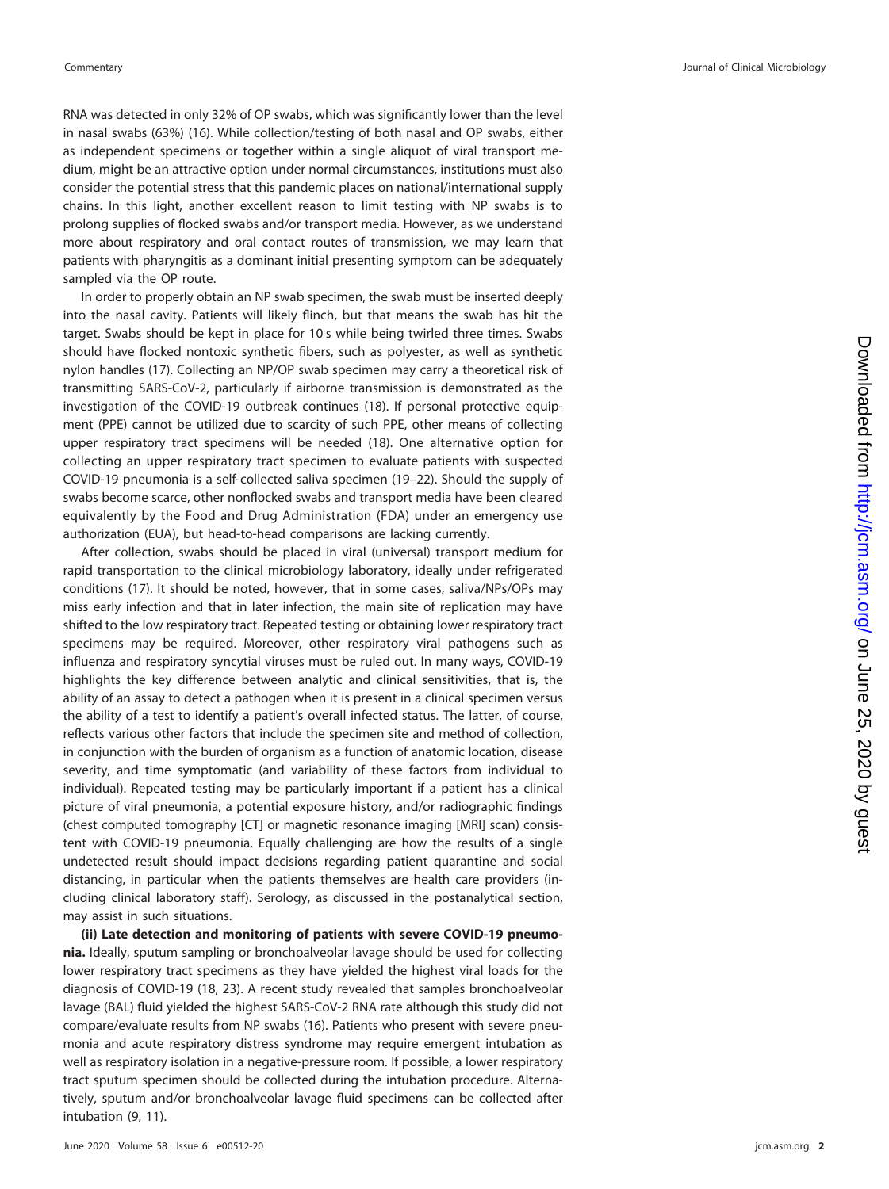RNA was detected in only 32% of OP swabs, which was significantly lower than the level in nasal swabs (63%) [\(16\)](#page-6-12). While collection/testing of both nasal and OP swabs, either as independent specimens or together within a single aliquot of viral transport medium, might be an attractive option under normal circumstances, institutions must also consider the potential stress that this pandemic places on national/international supply chains. In this light, another excellent reason to limit testing with NP swabs is to prolong supplies of flocked swabs and/or transport media. However, as we understand more about respiratory and oral contact routes of transmission, we may learn that patients with pharyngitis as a dominant initial presenting symptom can be adequately sampled via the OP route.

In order to properly obtain an NP swab specimen, the swab must be inserted deeply into the nasal cavity. Patients will likely flinch, but that means the swab has hit the target. Swabs should be kept in place for 10 s while being twirled three times. Swabs should have flocked nontoxic synthetic fibers, such as polyester, as well as synthetic nylon handles [\(17\)](#page-6-13). Collecting an NP/OP swab specimen may carry a theoretical risk of transmitting SARS-CoV-2, particularly if airborne transmission is demonstrated as the investigation of the COVID-19 outbreak continues [\(18\)](#page-6-14). If personal protective equipment (PPE) cannot be utilized due to scarcity of such PPE, other means of collecting upper respiratory tract specimens will be needed [\(18\)](#page-6-14). One alternative option for collecting an upper respiratory tract specimen to evaluate patients with suspected COVID-19 pneumonia is a self-collected saliva specimen [\(19](#page-6-15)[–](#page-6-16)[22\)](#page-6-17). Should the supply of swabs become scarce, other nonflocked swabs and transport media have been cleared equivalently by the Food and Drug Administration (FDA) under an emergency use authorization (EUA), but head-to-head comparisons are lacking currently.

After collection, swabs should be placed in viral (universal) transport medium for rapid transportation to the clinical microbiology laboratory, ideally under refrigerated conditions [\(17\)](#page-6-13). It should be noted, however, that in some cases, saliva/NPs/OPs may miss early infection and that in later infection, the main site of replication may have shifted to the low respiratory tract. Repeated testing or obtaining lower respiratory tract specimens may be required. Moreover, other respiratory viral pathogens such as influenza and respiratory syncytial viruses must be ruled out. In many ways, COVID-19 highlights the key difference between analytic and clinical sensitivities, that is, the ability of an assay to detect a pathogen when it is present in a clinical specimen versus the ability of a test to identify a patient's overall infected status. The latter, of course, reflects various other factors that include the specimen site and method of collection, in conjunction with the burden of organism as a function of anatomic location, disease severity, and time symptomatic (and variability of these factors from individual to individual). Repeated testing may be particularly important if a patient has a clinical picture of viral pneumonia, a potential exposure history, and/or radiographic findings (chest computed tomography [CT] or magnetic resonance imaging [MRI] scan) consistent with COVID-19 pneumonia. Equally challenging are how the results of a single undetected result should impact decisions regarding patient quarantine and social distancing, in particular when the patients themselves are health care providers (including clinical laboratory staff). Serology, as discussed in the postanalytical section, may assist in such situations.

**(ii) Late detection and monitoring of patients with severe COVID-19 pneumonia.** Ideally, sputum sampling or bronchoalveolar lavage should be used for collecting lower respiratory tract specimens as they have yielded the highest viral loads for the diagnosis of COVID-19 [\(18,](#page-6-14) [23\)](#page-6-18). A recent study revealed that samples bronchoalveolar lavage (BAL) fluid yielded the highest SARS-CoV-2 RNA rate although this study did not compare/evaluate results from NP swabs [\(16\)](#page-6-12). Patients who present with severe pneumonia and acute respiratory distress syndrome may require emergent intubation as well as respiratory isolation in a negative-pressure room. If possible, a lower respiratory tract sputum specimen should be collected during the intubation procedure. Alternatively, sputum and/or bronchoalveolar lavage fluid specimens can be collected after intubation [\(9,](#page-6-5) [11\)](#page-6-7).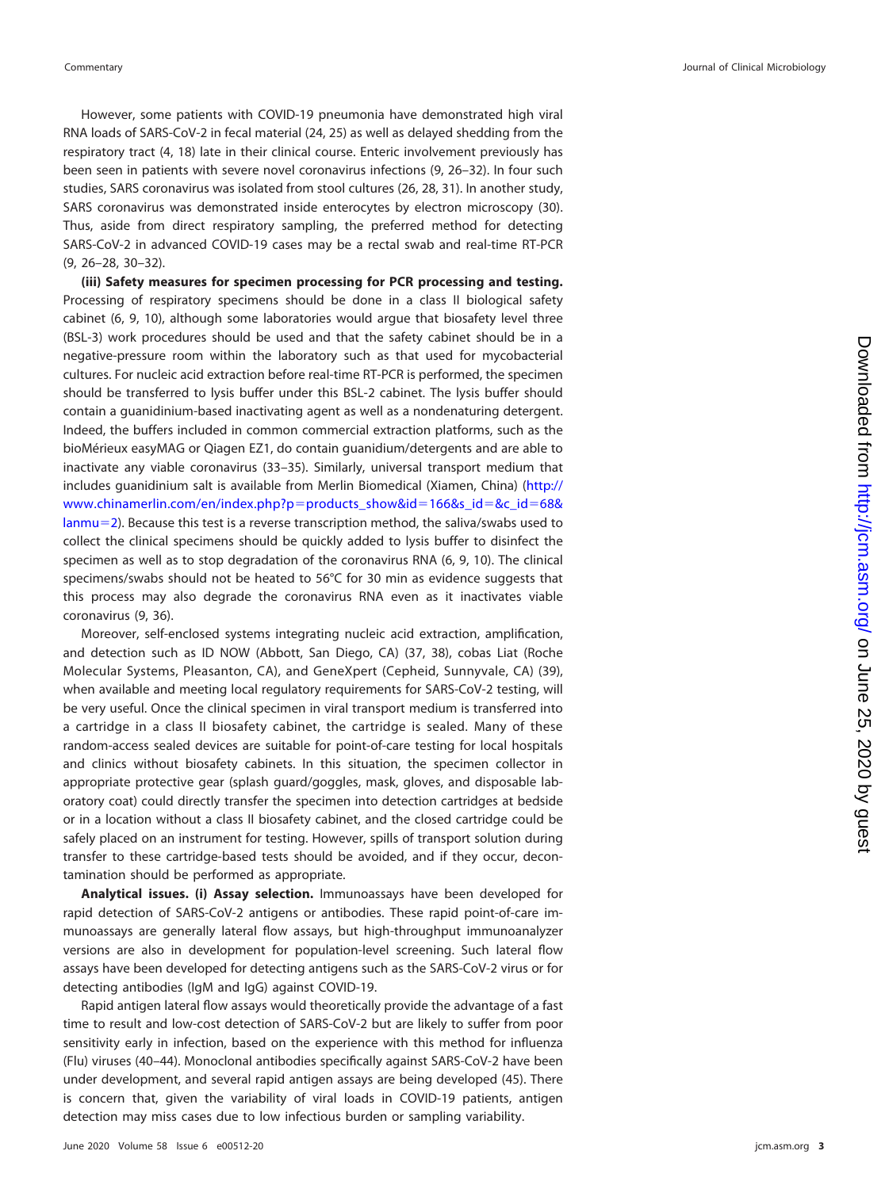However, some patients with COVID-19 pneumonia have demonstrated high viral RNA loads of SARS-CoV-2 in fecal material [\(24,](#page-6-19) [25\)](#page-6-20) as well as delayed shedding from the respiratory tract [\(4,](#page-6-0) [18\)](#page-6-14) late in their clinical course. Enteric involvement previously has been seen in patients with severe novel coronavirus infections [\(9,](#page-6-5) [26](#page-6-21)[–](#page-6-22)[32\)](#page-6-23). In four such studies, SARS coronavirus was isolated from stool cultures [\(26,](#page-6-21) [28,](#page-6-24) [31\)](#page-6-22). In another study, SARS coronavirus was demonstrated inside enterocytes by electron microscopy [\(30\)](#page-6-25). Thus, aside from direct respiratory sampling, the preferred method for detecting SARS-CoV-2 in advanced COVID-19 cases may be a rectal swab and real-time RT-PCR [\(9,](#page-6-5) [26](#page-6-21)[–](#page-6-26)[28,](#page-6-24) [30](#page-6-25)[–](#page-6-22)[32\)](#page-6-23).

**(iii) Safety measures for specimen processing for PCR processing and testing.** Processing of respiratory specimens should be done in a class II biological safety cabinet [\(6,](#page-6-2) [9,](#page-6-5) [10\)](#page-6-6), although some laboratories would argue that biosafety level three (BSL-3) work procedures should be used and that the safety cabinet should be in a negative-pressure room within the laboratory such as that used for mycobacterial cultures. For nucleic acid extraction before real-time RT-PCR is performed, the specimen should be transferred to lysis buffer under this BSL-2 cabinet. The lysis buffer should contain a guanidinium-based inactivating agent as well as a nondenaturing detergent. Indeed, the buffers included in common commercial extraction platforms, such as the bioMérieux easyMAG or Qiagen EZ1, do contain guanidium/detergents and are able to inactivate any viable coronavirus [\(33](#page-6-27)[–](#page-6-28)[35\)](#page-7-0). Similarly, universal transport medium that includes guanidinium salt is available from Merlin Biomedical (Xiamen, China) [\(http://](http://www.chinamerlin.com/en/index.php?p=products_show&id=166&s_id=&c_id=68&lanmu=2) [www.chinamerlin.com/en/index.php?p](http://www.chinamerlin.com/en/index.php?p=products_show&id=166&s_id=&c_id=68&lanmu=2)=products\_show&id=166&s\_id=&c\_id=68& [lanmu](http://www.chinamerlin.com/en/index.php?p=products_show&id=166&s_id=&c_id=68&lanmu=2)=2). Because this test is a reverse transcription method, the saliva/swabs used to collect the clinical specimens should be quickly added to lysis buffer to disinfect the specimen as well as to stop degradation of the coronavirus RNA [\(6,](#page-6-2) [9,](#page-6-5) [10\)](#page-6-6). The clinical specimens/swabs should not be heated to 56°C for 30 min as evidence suggests that this process may also degrade the coronavirus RNA even as it inactivates viable coronavirus [\(9,](#page-6-5) [36\)](#page-7-1).

Moreover, self-enclosed systems integrating nucleic acid extraction, amplification, and detection such as ID NOW (Abbott, San Diego, CA) [\(37,](#page-7-2) [38\)](#page-7-3), cobas Liat (Roche Molecular Systems, Pleasanton, CA), and GeneXpert (Cepheid, Sunnyvale, CA) [\(39\)](#page-7-4), when available and meeting local regulatory requirements for SARS-CoV-2 testing, will be very useful. Once the clinical specimen in viral transport medium is transferred into a cartridge in a class II biosafety cabinet, the cartridge is sealed. Many of these random-access sealed devices are suitable for point-of-care testing for local hospitals and clinics without biosafety cabinets. In this situation, the specimen collector in appropriate protective gear (splash guard/goggles, mask, gloves, and disposable laboratory coat) could directly transfer the specimen into detection cartridges at bedside or in a location without a class II biosafety cabinet, and the closed cartridge could be safely placed on an instrument for testing. However, spills of transport solution during transfer to these cartridge-based tests should be avoided, and if they occur, decontamination should be performed as appropriate.

**Analytical issues. (i) Assay selection.** Immunoassays have been developed for rapid detection of SARS-CoV-2 antigens or antibodies. These rapid point-of-care immunoassays are generally lateral flow assays, but high-throughput immunoanalyzer versions are also in development for population-level screening. Such lateral flow assays have been developed for detecting antigens such as the SARS-CoV-2 virus or for detecting antibodies (IgM and IgG) against COVID-19.

Rapid antigen lateral flow assays would theoretically provide the advantage of a fast time to result and low-cost detection of SARS-CoV-2 but are likely to suffer from poor sensitivity early in infection, based on the experience with this method for influenza (Flu) viruses [\(40](#page-7-5)[–](#page-7-6)[44\)](#page-7-7). Monoclonal antibodies specifically against SARS-CoV-2 have been under development, and several rapid antigen assays are being developed [\(45\)](#page-7-8). There is concern that, given the variability of viral loads in COVID-19 patients, antigen detection may miss cases due to low infectious burden or sampling variability.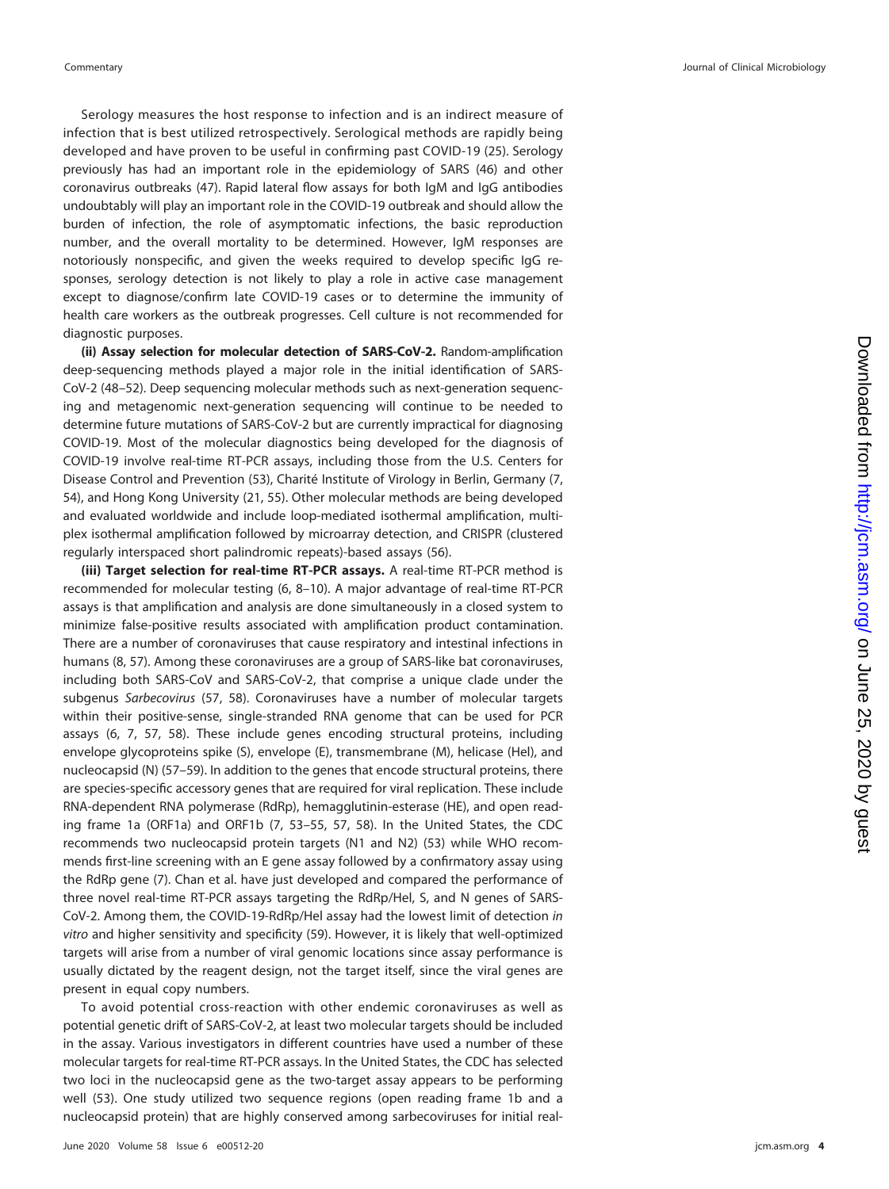Serology measures the host response to infection and is an indirect measure of infection that is best utilized retrospectively. Serological methods are rapidly being developed and have proven to be useful in confirming past COVID-19 [\(25\)](#page-6-20). Serology previously has had an important role in the epidemiology of SARS [\(46\)](#page-7-9) and other coronavirus outbreaks [\(47\)](#page-7-10). Rapid lateral flow assays for both IgM and IgG antibodies undoubtably will play an important role in the COVID-19 outbreak and should allow the burden of infection, the role of asymptomatic infections, the basic reproduction number, and the overall mortality to be determined. However, IgM responses are notoriously nonspecific, and given the weeks required to develop specific IgG responses, serology detection is not likely to play a role in active case management except to diagnose/confirm late COVID-19 cases or to determine the immunity of health care workers as the outbreak progresses. Cell culture is not recommended for diagnostic purposes.

**(ii) Assay selection for molecular detection of SARS-CoV-2.** Random-amplification deep-sequencing methods played a major role in the initial identification of SARS-CoV-2 [\(48](#page-7-11)[–](#page-7-12)[52\)](#page-7-13). Deep sequencing molecular methods such as next-generation sequencing and metagenomic next-generation sequencing will continue to be needed to determine future mutations of SARS-CoV-2 but are currently impractical for diagnosing COVID-19. Most of the molecular diagnostics being developed for the diagnosis of COVID-19 involve real-time RT-PCR assays, including those from the U.S. Centers for Disease Control and Prevention [\(53\)](#page-7-14), Charité Institute of Virology in Berlin, Germany [\(7,](#page-6-3) [54\)](#page-7-15), and Hong Kong University [\(21,](#page-6-16) [55\)](#page-7-16). Other molecular methods are being developed and evaluated worldwide and include loop-mediated isothermal amplification, multiplex isothermal amplification followed by microarray detection, and CRISPR (clustered regularly interspaced short palindromic repeats)-based assays [\(56\)](#page-7-17).

**(iii) Target selection for real-time RT-PCR assays.** A real-time RT-PCR method is recommended for molecular testing [\(6,](#page-6-2) [8](#page-6-4)[–](#page-6-5)[10\)](#page-6-6). A major advantage of real-time RT-PCR assays is that amplification and analysis are done simultaneously in a closed system to minimize false-positive results associated with amplification product contamination. There are a number of coronaviruses that cause respiratory and intestinal infections in humans [\(8,](#page-6-4) [57\)](#page-7-18). Among these coronaviruses are a group of SARS-like bat coronaviruses, including both SARS-CoV and SARS-CoV-2, that comprise a unique clade under the subgenus Sarbecovirus [\(57,](#page-7-18) [58\)](#page-7-19). Coronaviruses have a number of molecular targets within their positive-sense, single-stranded RNA genome that can be used for PCR assays [\(6,](#page-6-2) [7,](#page-6-3) [57,](#page-7-18) [58\)](#page-7-19). These include genes encoding structural proteins, including envelope glycoproteins spike (S), envelope (E), transmembrane (M), helicase (Hel), and nucleocapsid (N) [\(57](#page-7-18)[–](#page-7-19)[59\)](#page-7-20). In addition to the genes that encode structural proteins, there are species-specific accessory genes that are required for viral replication. These include RNA-dependent RNA polymerase (RdRp), hemagglutinin-esterase (HE), and open reading frame 1a (ORF1a) and ORF1b [\(7,](#page-6-3) [53](#page-7-14)[–](#page-7-15)[55,](#page-7-16) [57,](#page-7-18) [58\)](#page-7-19). In the United States, the CDC recommends two nucleocapsid protein targets (N1 and N2) [\(53\)](#page-7-14) while WHO recommends first-line screening with an E gene assay followed by a confirmatory assay using the RdRp gene [\(7\)](#page-6-3). Chan et al. have just developed and compared the performance of three novel real-time RT-PCR assays targeting the RdRp/Hel, S, and N genes of SARS-CoV-2. Among them, the COVID-19-RdRp/Hel assay had the lowest limit of detection in vitro and higher sensitivity and specificity [\(59\)](#page-7-20). However, it is likely that well-optimized targets will arise from a number of viral genomic locations since assay performance is usually dictated by the reagent design, not the target itself, since the viral genes are present in equal copy numbers.

To avoid potential cross-reaction with other endemic coronaviruses as well as potential genetic drift of SARS-CoV-2, at least two molecular targets should be included in the assay. Various investigators in different countries have used a number of these molecular targets for real-time RT-PCR assays. In the United States, the CDC has selected two loci in the nucleocapsid gene as the two-target assay appears to be performing well [\(53\)](#page-7-14). One study utilized two sequence regions (open reading frame 1b and a nucleocapsid protein) that are highly conserved among sarbecoviruses for initial real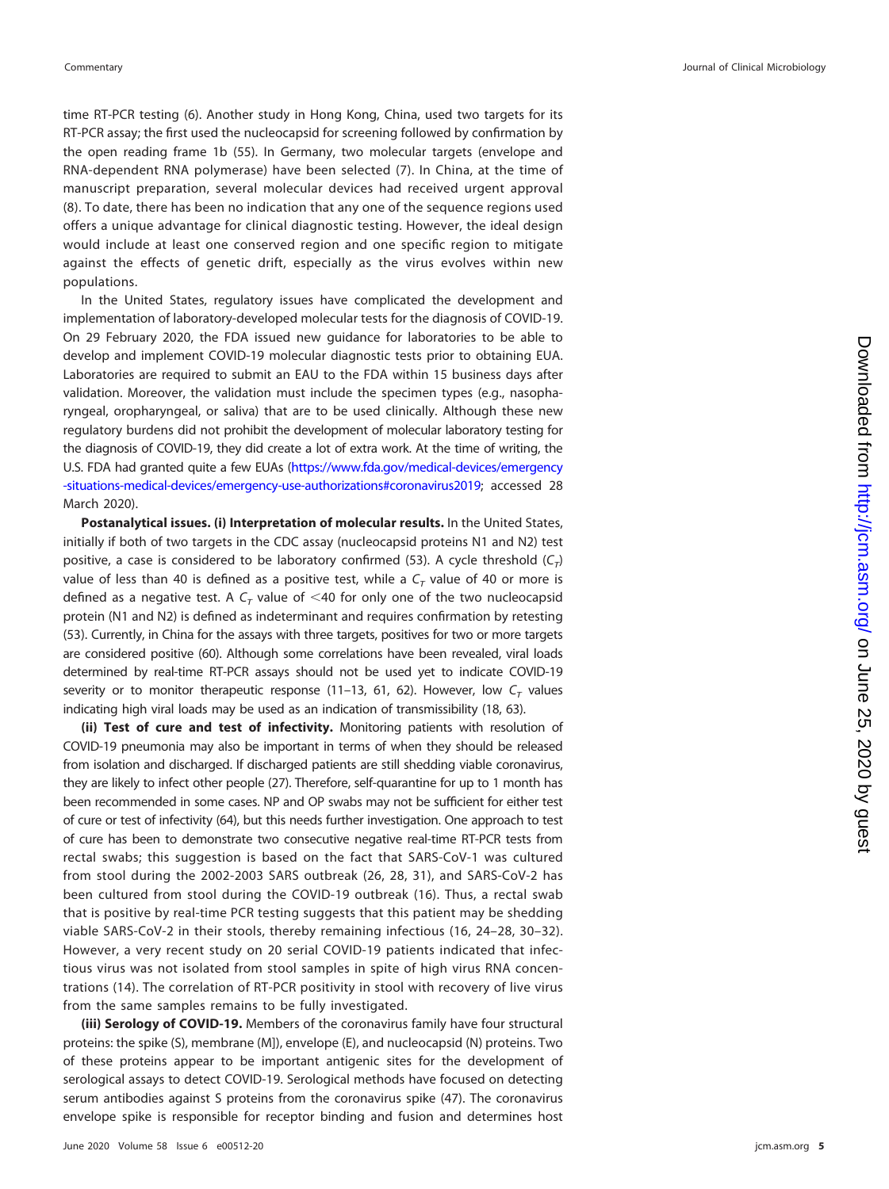time RT-PCR testing [\(6\)](#page-6-2). Another study in Hong Kong, China, used two targets for its RT-PCR assay; the first used the nucleocapsid for screening followed by confirmation by the open reading frame 1b [\(55\)](#page-7-16). In Germany, two molecular targets (envelope and RNA-dependent RNA polymerase) have been selected [\(7\)](#page-6-3). In China, at the time of manuscript preparation, several molecular devices had received urgent approval [\(8\)](#page-6-4). To date, there has been no indication that any one of the sequence regions used offers a unique advantage for clinical diagnostic testing. However, the ideal design would include at least one conserved region and one specific region to mitigate against the effects of genetic drift, especially as the virus evolves within new populations.

In the United States, regulatory issues have complicated the development and implementation of laboratory-developed molecular tests for the diagnosis of COVID-19. On 29 February 2020, the FDA issued new guidance for laboratories to be able to develop and implement COVID-19 molecular diagnostic tests prior to obtaining EUA. Laboratories are required to submit an EAU to the FDA within 15 business days after validation. Moreover, the validation must include the specimen types (e.g., nasopharyngeal, oropharyngeal, or saliva) that are to be used clinically. Although these new regulatory burdens did not prohibit the development of molecular laboratory testing for the diagnosis of COVID-19, they did create a lot of extra work. At the time of writing, the U.S. FDA had granted quite a few EUAs [\(https://www.fda.gov/medical-devices/emergency](https://www.fda.gov/medical-devices/emergency-situations-medical-devices/emergency-use-authorizations#coronavirus2019) [-situations-medical-devices/emergency-use-authorizations#coronavirus2019;](https://www.fda.gov/medical-devices/emergency-situations-medical-devices/emergency-use-authorizations#coronavirus2019) accessed 28 March 2020).

**Postanalytical issues. (i) Interpretation of molecular results.** In the United States, initially if both of two targets in the CDC assay (nucleocapsid proteins N1 and N2) test positive, a case is considered to be laboratory confirmed [\(53\)](#page-7-14). A cycle threshold  $(C_T)$ value of less than 40 is defined as a positive test, while a  $C<sub>T</sub>$  value of 40 or more is defined as a negative test. A  $C<sub>T</sub>$  value of <40 for only one of the two nucleocapsid protein (N1 and N2) is defined as indeterminant and requires confirmation by retesting [\(53\)](#page-7-14). Currently, in China for the assays with three targets, positives for two or more targets are considered positive [\(60\)](#page-7-21). Although some correlations have been revealed, viral loads determined by real-time RT-PCR assays should not be used yet to indicate COVID-19 severity or to monitor therapeutic response [\(11](#page-6-7)[–](#page-6-10)[13,](#page-6-8) [61,](#page-7-22) [62\)](#page-7-23). However, low  $C<sub>T</sub>$  values indicating high viral loads may be used as an indication of transmissibility [\(18,](#page-6-14) [63\)](#page-7-24).

**(ii) Test of cure and test of infectivity.** Monitoring patients with resolution of COVID-19 pneumonia may also be important in terms of when they should be released from isolation and discharged. If discharged patients are still shedding viable coronavirus, they are likely to infect other people [\(27\)](#page-6-26). Therefore, self-quarantine for up to 1 month has been recommended in some cases. NP and OP swabs may not be sufficient for either test of cure or test of infectivity [\(64\)](#page-7-25), but this needs further investigation. One approach to test of cure has been to demonstrate two consecutive negative real-time RT-PCR tests from rectal swabs; this suggestion is based on the fact that SARS-CoV-1 was cultured from stool during the 2002-2003 SARS outbreak [\(26,](#page-6-21) [28,](#page-6-24) [31\)](#page-6-22), and SARS-CoV-2 has been cultured from stool during the COVID-19 outbreak [\(16\)](#page-6-12). Thus, a rectal swab that is positive by real-time PCR testing suggests that this patient may be shedding viable SARS-CoV-2 in their stools, thereby remaining infectious [\(16,](#page-6-12) [24](#page-6-19)[–](#page-6-26)[28,](#page-6-24) [30](#page-6-25)[–](#page-6-22)[32\)](#page-6-23). However, a very recent study on 20 serial COVID-19 patients indicated that infectious virus was not isolated from stool samples in spite of high virus RNA concentrations [\(14\)](#page-6-9). The correlation of RT-PCR positivity in stool with recovery of live virus from the same samples remains to be fully investigated.

**(iii) Serology of COVID-19.** Members of the coronavirus family have four structural proteins: the spike (S), membrane (M]), envelope (E), and nucleocapsid (N) proteins. Two of these proteins appear to be important antigenic sites for the development of serological assays to detect COVID-19. Serological methods have focused on detecting serum antibodies against S proteins from the coronavirus spike [\(47\)](#page-7-10). The coronavirus envelope spike is responsible for receptor binding and fusion and determines host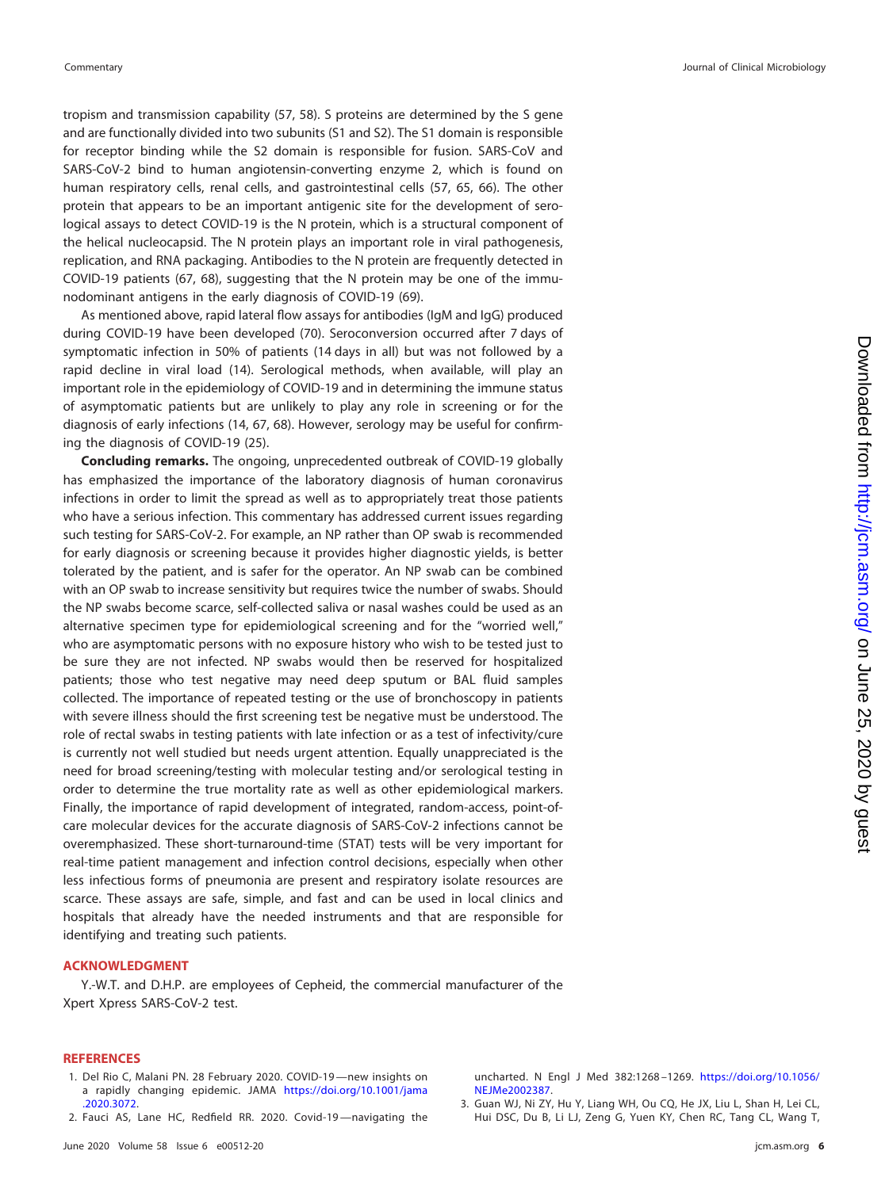tropism and transmission capability [\(57,](#page-7-18) [58\)](#page-7-19). S proteins are determined by the S gene and are functionally divided into two subunits (S1 and S2). The S1 domain is responsible for receptor binding while the S2 domain is responsible for fusion. SARS-CoV and SARS-CoV-2 bind to human angiotensin-converting enzyme 2, which is found on human respiratory cells, renal cells, and gastrointestinal cells [\(57,](#page-7-18) [65,](#page-8-0) [66\)](#page-8-1). The other protein that appears to be an important antigenic site for the development of serological assays to detect COVID-19 is the N protein, which is a structural component of the helical nucleocapsid. The N protein plays an important role in viral pathogenesis, replication, and RNA packaging. Antibodies to the N protein are frequently detected in COVID-19 patients [\(67,](#page-8-2) [68\)](#page-8-3), suggesting that the N protein may be one of the immunodominant antigens in the early diagnosis of COVID-19 [\(69\)](#page-8-4).

As mentioned above, rapid lateral flow assays for antibodies (IgM and IgG) produced during COVID-19 have been developed [\(70\)](#page-8-5). Seroconversion occurred after 7 days of symptomatic infection in 50% of patients (14 days in all) but was not followed by a rapid decline in viral load [\(14\)](#page-6-9). Serological methods, when available, will play an important role in the epidemiology of COVID-19 and in determining the immune status of asymptomatic patients but are unlikely to play any role in screening or for the diagnosis of early infections [\(14,](#page-6-9) [67,](#page-8-2) [68\)](#page-8-3). However, serology may be useful for confirming the diagnosis of COVID-19 [\(25\)](#page-6-20).

**Concluding remarks.** The ongoing, unprecedented outbreak of COVID-19 globally has emphasized the importance of the laboratory diagnosis of human coronavirus infections in order to limit the spread as well as to appropriately treat those patients who have a serious infection. This commentary has addressed current issues regarding such testing for SARS-CoV-2. For example, an NP rather than OP swab is recommended for early diagnosis or screening because it provides higher diagnostic yields, is better tolerated by the patient, and is safer for the operator. An NP swab can be combined with an OP swab to increase sensitivity but requires twice the number of swabs. Should the NP swabs become scarce, self-collected saliva or nasal washes could be used as an alternative specimen type for epidemiological screening and for the "worried well," who are asymptomatic persons with no exposure history who wish to be tested just to be sure they are not infected. NP swabs would then be reserved for hospitalized patients; those who test negative may need deep sputum or BAL fluid samples collected. The importance of repeated testing or the use of bronchoscopy in patients with severe illness should the first screening test be negative must be understood. The role of rectal swabs in testing patients with late infection or as a test of infectivity/cure is currently not well studied but needs urgent attention. Equally unappreciated is the need for broad screening/testing with molecular testing and/or serological testing in order to determine the true mortality rate as well as other epidemiological markers. Finally, the importance of rapid development of integrated, random-access, point-ofcare molecular devices for the accurate diagnosis of SARS-CoV-2 infections cannot be overemphasized. These short-turnaround-time (STAT) tests will be very important for real-time patient management and infection control decisions, especially when other less infectious forms of pneumonia are present and respiratory isolate resources are scarce. These assays are safe, simple, and fast and can be used in local clinics and hospitals that already have the needed instruments and that are responsible for identifying and treating such patients.

## **ACKNOWLEDGMENT**

Y.-W.T. and D.H.P. are employees of Cepheid, the commercial manufacturer of the Xpert Xpress SARS-CoV-2 test.

## <span id="page-5-0"></span>**REFERENCES**

- 1. Del Rio C, Malani PN. 28 February 2020. COVID-19—new insights on a rapidly changing epidemic. JAMA [https://doi.org/10.1001/jama](https://doi.org/10.1001/jama.2020.3072) [.2020.3072.](https://doi.org/10.1001/jama.2020.3072)
- 2. Fauci AS, Lane HC, Redfield RR. 2020. Covid-19—navigating the

uncharted. N Engl J Med 382:1268 –1269. [https://doi.org/10.1056/](https://doi.org/10.1056/NEJMe2002387) [NEJMe2002387.](https://doi.org/10.1056/NEJMe2002387)

3. Guan WJ, Ni ZY, Hu Y, Liang WH, Ou CQ, He JX, Liu L, Shan H, Lei CL, Hui DSC, Du B, Li LJ, Zeng G, Yuen KY, Chen RC, Tang CL, Wang T,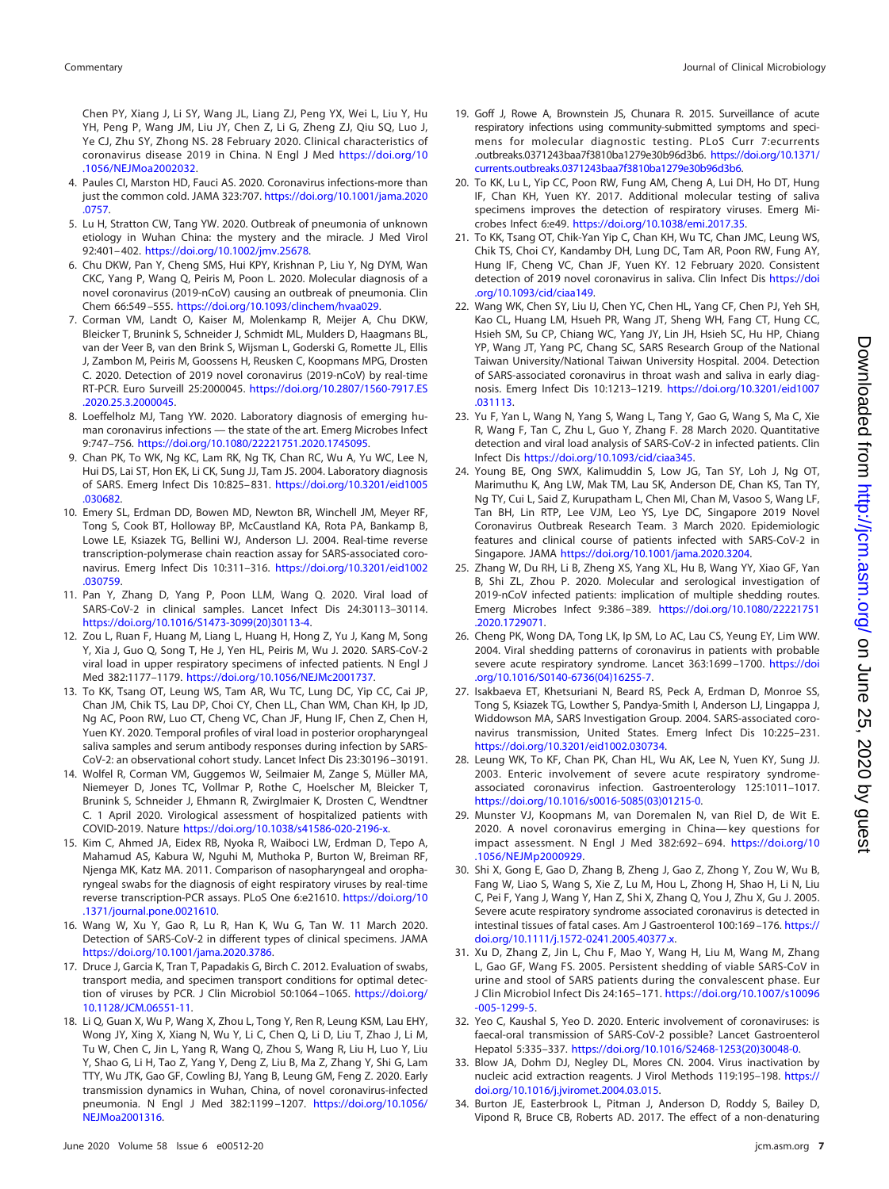Chen PY, Xiang J, Li SY, Wang JL, Liang ZJ, Peng YX, Wei L, Liu Y, Hu YH, Peng P, Wang JM, Liu JY, Chen Z, Li G, Zheng ZJ, Qiu SQ, Luo J, Ye CJ, Zhu SY, Zhong NS. 28 February 2020. Clinical characteristics of coronavirus disease 2019 in China. N Engl J Med [https://doi.org/10](https://doi.org/10.1056/NEJMoa2002032) [.1056/NEJMoa2002032.](https://doi.org/10.1056/NEJMoa2002032)

- <span id="page-6-0"></span>4. Paules CI, Marston HD, Fauci AS. 2020. Coronavirus infections-more than just the common cold. JAMA 323:707. [https://doi.org/10.1001/jama.2020](https://doi.org/10.1001/jama.2020.0757) [.0757.](https://doi.org/10.1001/jama.2020.0757)
- <span id="page-6-1"></span>5. Lu H, Stratton CW, Tang YW. 2020. Outbreak of pneumonia of unknown etiology in Wuhan China: the mystery and the miracle. J Med Virol 92:401– 402. [https://doi.org/10.1002/jmv.25678.](https://doi.org/10.1002/jmv.25678)
- <span id="page-6-2"></span>6. Chu DKW, Pan Y, Cheng SMS, Hui KPY, Krishnan P, Liu Y, Ng DYM, Wan CKC, Yang P, Wang Q, Peiris M, Poon L. 2020. Molecular diagnosis of a novel coronavirus (2019-nCoV) causing an outbreak of pneumonia. Clin Chem 66:549 –555. [https://doi.org/10.1093/clinchem/hvaa029.](https://doi.org/10.1093/clinchem/hvaa029)
- <span id="page-6-3"></span>7. Corman VM, Landt O, Kaiser M, Molenkamp R, Meijer A, Chu DKW, Bleicker T, Brunink S, Schneider J, Schmidt ML, Mulders D, Haagmans BL, van der Veer B, van den Brink S, Wijsman L, Goderski G, Romette JL, Ellis J, Zambon M, Peiris M, Goossens H, Reusken C, Koopmans MPG, Drosten C. 2020. Detection of 2019 novel coronavirus (2019-nCoV) by real-time RT-PCR. Euro Surveill 25:2000045. [https://doi.org/10.2807/1560-7917.ES](https://doi.org/10.2807/1560-7917.ES.2020.25.3.2000045) [.2020.25.3.2000045.](https://doi.org/10.2807/1560-7917.ES.2020.25.3.2000045)
- <span id="page-6-4"></span>8. Loeffelholz MJ, Tang YW. 2020. Laboratory diagnosis of emerging human coronavirus infections — the state of the art. Emerg Microbes Infect 9:747–756. [https://doi.org/10.1080/22221751.2020.1745095.](https://doi.org/10.1080/22221751.2020.1745095)
- <span id="page-6-5"></span>9. Chan PK, To WK, Ng KC, Lam RK, Ng TK, Chan RC, Wu A, Yu WC, Lee N, Hui DS, Lai ST, Hon EK, Li CK, Sung JJ, Tam JS. 2004. Laboratory diagnosis of SARS. Emerg Infect Dis 10:825– 831. [https://doi.org/10.3201/eid1005](https://doi.org/10.3201/eid1005.030682) [.030682.](https://doi.org/10.3201/eid1005.030682)
- <span id="page-6-6"></span>10. Emery SL, Erdman DD, Bowen MD, Newton BR, Winchell JM, Meyer RF, Tong S, Cook BT, Holloway BP, McCaustland KA, Rota PA, Bankamp B, Lowe LE, Ksiazek TG, Bellini WJ, Anderson LJ. 2004. Real-time reverse transcription-polymerase chain reaction assay for SARS-associated coronavirus. Emerg Infect Dis 10:311–316. [https://doi.org/10.3201/eid1002](https://doi.org/10.3201/eid1002.030759) [.030759.](https://doi.org/10.3201/eid1002.030759)
- <span id="page-6-7"></span>11. Pan Y, Zhang D, Yang P, Poon LLM, Wang Q. 2020. Viral load of SARS-CoV-2 in clinical samples. Lancet Infect Dis 24:30113–30114. [https://doi.org/10.1016/S1473-3099\(20\)30113-4.](https://doi.org/10.1016/S1473-3099(20)30113-4)
- <span id="page-6-10"></span>12. Zou L, Ruan F, Huang M, Liang L, Huang H, Hong Z, Yu J, Kang M, Song Y, Xia J, Guo Q, Song T, He J, Yen HL, Peiris M, Wu J. 2020. SARS-CoV-2 viral load in upper respiratory specimens of infected patients. N Engl J Med 382:1177–1179. [https://doi.org/10.1056/NEJMc2001737.](https://doi.org/10.1056/NEJMc2001737)
- <span id="page-6-8"></span>13. To KK, Tsang OT, Leung WS, Tam AR, Wu TC, Lung DC, Yip CC, Cai JP, Chan JM, Chik TS, Lau DP, Choi CY, Chen LL, Chan WM, Chan KH, Ip JD, Ng AC, Poon RW, Luo CT, Cheng VC, Chan JF, Hung IF, Chen Z, Chen H, Yuen KY. 2020. Temporal profiles of viral load in posterior oropharyngeal saliva samples and serum antibody responses during infection by SARS-CoV-2: an observational cohort study. Lancet Infect Dis 23:30196 –30191.
- <span id="page-6-9"></span>14. Wolfel R, Corman VM, Guggemos W, Seilmaier M, Zange S, Müller MA, Niemeyer D, Jones TC, Vollmar P, Rothe C, Hoelscher M, Bleicker T, Brunink S, Schneider J, Ehmann R, Zwirglmaier K, Drosten C, Wendtner C. 1 April 2020. Virological assessment of hospitalized patients with COVID-2019. Nature [https://doi.org/10.1038/s41586-020-2196-x.](https://doi.org/10.1038/s41586-020-2196-x)
- <span id="page-6-11"></span>15. Kim C, Ahmed JA, Eidex RB, Nyoka R, Waiboci LW, Erdman D, Tepo A, Mahamud AS, Kabura W, Nguhi M, Muthoka P, Burton W, Breiman RF, Njenga MK, Katz MA. 2011. Comparison of nasopharyngeal and oropharyngeal swabs for the diagnosis of eight respiratory viruses by real-time reverse transcription-PCR assays. PLoS One 6:e21610. [https://doi.org/10](https://doi.org/10.1371/journal.pone.0021610) [.1371/journal.pone.0021610.](https://doi.org/10.1371/journal.pone.0021610)
- <span id="page-6-13"></span><span id="page-6-12"></span>16. Wang W, Xu Y, Gao R, Lu R, Han K, Wu G, Tan W. 11 March 2020. Detection of SARS-CoV-2 in different types of clinical specimens. JAMA [https://doi.org/10.1001/jama.2020.3786.](https://doi.org/10.1001/jama.2020.3786)
- 17. Druce J, Garcia K, Tran T, Papadakis G, Birch C. 2012. Evaluation of swabs, transport media, and specimen transport conditions for optimal detection of viruses by PCR. J Clin Microbiol 50:1064-1065. [https://doi.org/](https://doi.org/10.1128/JCM.06551-11) [10.1128/JCM.06551-11.](https://doi.org/10.1128/JCM.06551-11)
- <span id="page-6-14"></span>18. Li Q, Guan X, Wu P, Wang X, Zhou L, Tong Y, Ren R, Leung KSM, Lau EHY, Wong JY, Xing X, Xiang N, Wu Y, Li C, Chen Q, Li D, Liu T, Zhao J, Li M, Tu W, Chen C, Jin L, Yang R, Wang Q, Zhou S, Wang R, Liu H, Luo Y, Liu Y, Shao G, Li H, Tao Z, Yang Y, Deng Z, Liu B, Ma Z, Zhang Y, Shi G, Lam TTY, Wu JTK, Gao GF, Cowling BJ, Yang B, Leung GM, Feng Z. 2020. Early transmission dynamics in Wuhan, China, of novel coronavirus-infected pneumonia. N Engl J Med 382:1199-1207. [https://doi.org/10.1056/](https://doi.org/10.1056/NEJMoa2001316) [NEJMoa2001316.](https://doi.org/10.1056/NEJMoa2001316)
- <span id="page-6-15"></span>20. To KK, Lu L, Yip CC, Poon RW, Fung AM, Cheng A, Lui DH, Ho DT, Hung IF, Chan KH, Yuen KY. 2017. Additional molecular testing of saliva specimens improves the detection of respiratory viruses. Emerg Microbes Infect 6:e49. [https://doi.org/10.1038/emi.2017.35.](https://doi.org/10.1038/emi.2017.35)
- <span id="page-6-16"></span>21. To KK, Tsang OT, Chik-Yan Yip C, Chan KH, Wu TC, Chan JMC, Leung WS, Chik TS, Choi CY, Kandamby DH, Lung DC, Tam AR, Poon RW, Fung AY, Hung IF, Cheng VC, Chan JF, Yuen KY. 12 February 2020. Consistent detection of 2019 novel coronavirus in saliva. Clin Infect Dis [https://doi](https://doi.org/10.1093/cid/ciaa149) [.org/10.1093/cid/ciaa149.](https://doi.org/10.1093/cid/ciaa149)
- <span id="page-6-17"></span>22. Wang WK, Chen SY, Liu IJ, Chen YC, Chen HL, Yang CF, Chen PJ, Yeh SH, Kao CL, Huang LM, Hsueh PR, Wang JT, Sheng WH, Fang CT, Hung CC, Hsieh SM, Su CP, Chiang WC, Yang JY, Lin JH, Hsieh SC, Hu HP, Chiang YP, Wang JT, Yang PC, Chang SC, SARS Research Group of the National Taiwan University/National Taiwan University Hospital. 2004. Detection of SARS-associated coronavirus in throat wash and saliva in early diagnosis. Emerg Infect Dis 10:1213–1219. [https://doi.org/10.3201/eid1007](https://doi.org/10.3201/eid1007.031113) [.031113.](https://doi.org/10.3201/eid1007.031113)
- <span id="page-6-18"></span>23. Yu F, Yan L, Wang N, Yang S, Wang L, Tang Y, Gao G, Wang S, Ma C, Xie R, Wang F, Tan C, Zhu L, Guo Y, Zhang F. 28 March 2020. Quantitative detection and viral load analysis of SARS-CoV-2 in infected patients. Clin Infect Dis [https://doi.org/10.1093/cid/ciaa345.](https://doi.org/10.1093/cid/ciaa345)
- <span id="page-6-19"></span>24. Young BE, Ong SWX, Kalimuddin S, Low JG, Tan SY, Loh J, Ng OT, Marimuthu K, Ang LW, Mak TM, Lau SK, Anderson DE, Chan KS, Tan TY, Ng TY, Cui L, Said Z, Kurupatham L, Chen MI, Chan M, Vasoo S, Wang LF, Tan BH, Lin RTP, Lee VJM, Leo YS, Lye DC, Singapore 2019 Novel Coronavirus Outbreak Research Team. 3 March 2020. Epidemiologic features and clinical course of patients infected with SARS-CoV-2 in Singapore. JAMA [https://doi.org/10.1001/jama.2020.3204.](https://doi.org/10.1001/jama.2020.3204)
- <span id="page-6-20"></span>25. Zhang W, Du RH, Li B, Zheng XS, Yang XL, Hu B, Wang YY, Xiao GF, Yan B, Shi ZL, Zhou P. 2020. Molecular and serological investigation of 2019-nCoV infected patients: implication of multiple shedding routes. Emerg Microbes Infect 9:386 –389. [https://doi.org/10.1080/22221751](https://doi.org/10.1080/22221751.2020.1729071) [.2020.1729071.](https://doi.org/10.1080/22221751.2020.1729071)
- <span id="page-6-21"></span>26. Cheng PK, Wong DA, Tong LK, Ip SM, Lo AC, Lau CS, Yeung EY, Lim WW. 2004. Viral shedding patterns of coronavirus in patients with probable severe acute respiratory syndrome. Lancet 363:1699 –1700. [https://doi](https://doi.org/10.1016/S0140-6736(04)16255-7) [.org/10.1016/S0140-6736\(04\)16255-7.](https://doi.org/10.1016/S0140-6736(04)16255-7)
- <span id="page-6-26"></span>27. Isakbaeva ET, Khetsuriani N, Beard RS, Peck A, Erdman D, Monroe SS, Tong S, Ksiazek TG, Lowther S, Pandya-Smith I, Anderson LJ, Lingappa J, Widdowson MA, SARS Investigation Group. 2004. SARS-associated coronavirus transmission, United States. Emerg Infect Dis 10:225–231. [https://doi.org/10.3201/eid1002.030734.](https://doi.org/10.3201/eid1002.030734)
- <span id="page-6-24"></span>28. Leung WK, To KF, Chan PK, Chan HL, Wu AK, Lee N, Yuen KY, Sung JJ. 2003. Enteric involvement of severe acute respiratory syndromeassociated coronavirus infection. Gastroenterology 125:1011–1017. [https://doi.org/10.1016/s0016-5085\(03\)01215-0.](https://doi.org/10.1016/s0016-5085(03)01215-0)
- 29. Munster VJ, Koopmans M, van Doremalen N, van Riel D, de Wit E. 2020. A novel coronavirus emerging in China— key questions for impact assessment. N Engl J Med 382:692– 694. [https://doi.org/10](https://doi.org/10.1056/NEJMp2000929) [.1056/NEJMp2000929.](https://doi.org/10.1056/NEJMp2000929)
- <span id="page-6-25"></span>30. Shi X, Gong E, Gao D, Zhang B, Zheng J, Gao Z, Zhong Y, Zou W, Wu B, Fang W, Liao S, Wang S, Xie Z, Lu M, Hou L, Zhong H, Shao H, Li N, Liu C, Pei F, Yang J, Wang Y, Han Z, Shi X, Zhang Q, You J, Zhu X, Gu J. 2005. Severe acute respiratory syndrome associated coronavirus is detected in intestinal tissues of fatal cases. Am J Gastroenterol 100:169-176. [https://](https://doi.org/10.1111/j.1572-0241.2005.40377.x) [doi.org/10.1111/j.1572-0241.2005.40377.x.](https://doi.org/10.1111/j.1572-0241.2005.40377.x)
- <span id="page-6-22"></span>31. Xu D, Zhang Z, Jin L, Chu F, Mao Y, Wang H, Liu M, Wang M, Zhang L, Gao GF, Wang FS. 2005. Persistent shedding of viable SARS-CoV in urine and stool of SARS patients during the convalescent phase. Eur J Clin Microbiol Infect Dis 24:165–171. [https://doi.org/10.1007/s10096](https://doi.org/10.1007/s10096-005-1299-5) [-005-1299-5.](https://doi.org/10.1007/s10096-005-1299-5)
- <span id="page-6-27"></span><span id="page-6-23"></span>32. Yeo C, Kaushal S, Yeo D. 2020. Enteric involvement of coronaviruses: is faecal-oral transmission of SARS-CoV-2 possible? Lancet Gastroenterol Hepatol 5:335–337. [https://doi.org/10.1016/S2468-1253\(20\)30048-0.](https://doi.org/10.1016/S2468-1253(20)30048-0)
- <span id="page-6-28"></span>33. Blow JA, Dohm DJ, Negley DL, Mores CN. 2004. Virus inactivation by nucleic acid extraction reagents. J Virol Methods 119:195–198. [https://](https://doi.org/10.1016/j.jviromet.2004.03.015) [doi.org/10.1016/j.jviromet.2004.03.015.](https://doi.org/10.1016/j.jviromet.2004.03.015)
- 34. Burton JE, Easterbrook L, Pitman J, Anderson D, Roddy S, Bailey D, Vipond R, Bruce CB, Roberts AD. 2017. The effect of a non-denaturing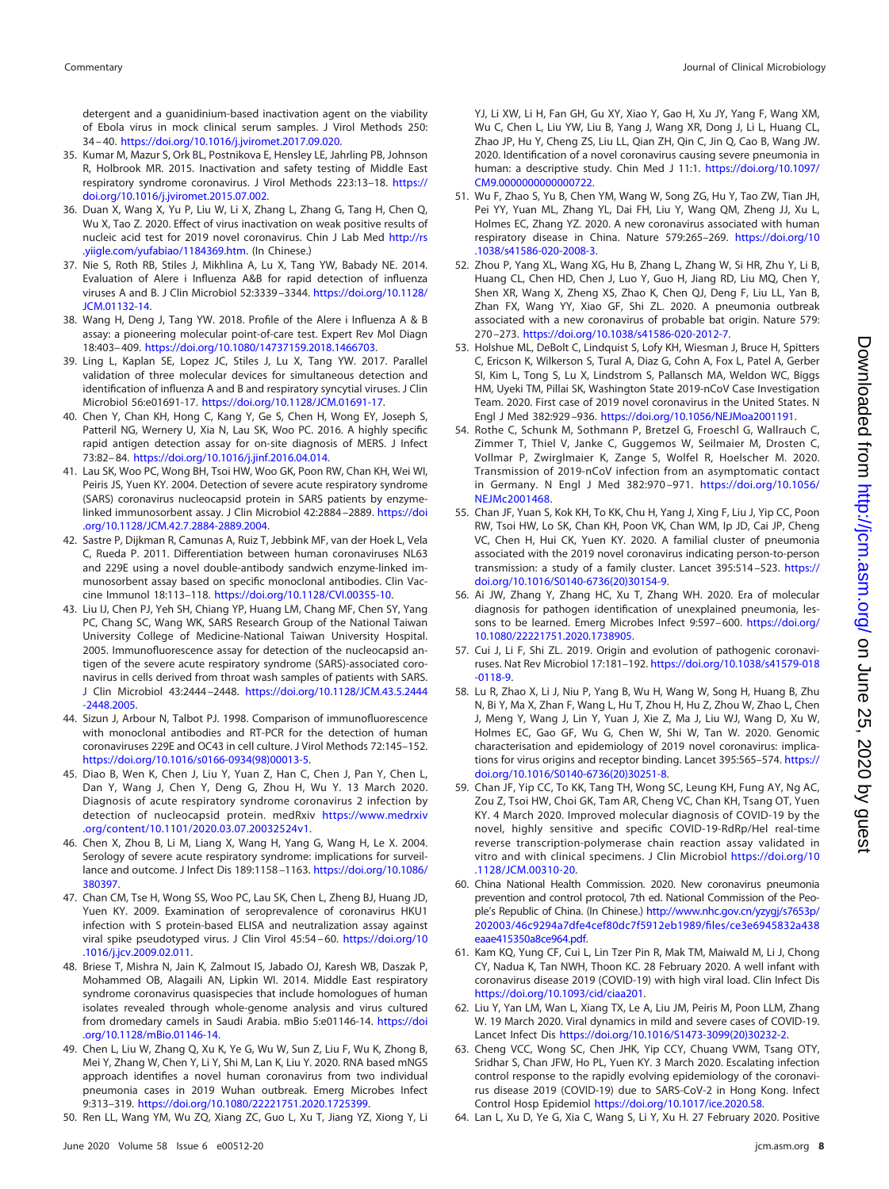detergent and a guanidinium-based inactivation agent on the viability of Ebola virus in mock clinical serum samples. J Virol Methods 250: 34 – 40. [https://doi.org/10.1016/j.jviromet.2017.09.020.](https://doi.org/10.1016/j.jviromet.2017.09.020)

- <span id="page-7-0"></span>35. Kumar M, Mazur S, Ork BL, Postnikova E, Hensley LE, Jahrling PB, Johnson R, Holbrook MR. 2015. Inactivation and safety testing of Middle East respiratory syndrome coronavirus. J Virol Methods 223:13–18. [https://](https://doi.org/10.1016/j.jviromet.2015.07.002) [doi.org/10.1016/j.jviromet.2015.07.002.](https://doi.org/10.1016/j.jviromet.2015.07.002)
- <span id="page-7-1"></span>36. Duan X, Wang X, Yu P, Liu W, Li X, Zhang L, Zhang G, Tang H, Chen Q, Wu X, Tao Z. 2020. Effect of virus inactivation on weak positive results of nucleic acid test for 2019 novel coronavirus. Chin J Lab Med [http://rs](http://rs.yiigle.com/yufabiao/1184369.htm) [.yiigle.com/yufabiao/1184369.htm.](http://rs.yiigle.com/yufabiao/1184369.htm) (In Chinese.)
- <span id="page-7-2"></span>37. Nie S, Roth RB, Stiles J, Mikhlina A, Lu X, Tang YW, Babady NE. 2014. Evaluation of Alere i Influenza A&B for rapid detection of influenza viruses A and B. J Clin Microbiol 52:3339 –3344. [https://doi.org/10.1128/](https://doi.org/10.1128/JCM.01132-14) [JCM.01132-14.](https://doi.org/10.1128/JCM.01132-14)
- <span id="page-7-3"></span>38. Wang H, Deng J, Tang YW. 2018. Profile of the Alere i Influenza A & B assay: a pioneering molecular point-of-care test. Expert Rev Mol Diagn 18:403– 409. [https://doi.org/10.1080/14737159.2018.1466703.](https://doi.org/10.1080/14737159.2018.1466703)
- <span id="page-7-4"></span>39. Ling L, Kaplan SE, Lopez JC, Stiles J, Lu X, Tang YW. 2017. Parallel validation of three molecular devices for simultaneous detection and identification of influenza A and B and respiratory syncytial viruses. J Clin Microbiol 56:e01691-17. [https://doi.org/10.1128/JCM.01691-17.](https://doi.org/10.1128/JCM.01691-17)
- <span id="page-7-5"></span>40. Chen Y, Chan KH, Hong C, Kang Y, Ge S, Chen H, Wong EY, Joseph S, Patteril NG, Wernery U, Xia N, Lau SK, Woo PC. 2016. A highly specific rapid antigen detection assay for on-site diagnosis of MERS. J Infect 73:82– 84. [https://doi.org/10.1016/j.jinf.2016.04.014.](https://doi.org/10.1016/j.jinf.2016.04.014)
- 41. Lau SK, Woo PC, Wong BH, Tsoi HW, Woo GK, Poon RW, Chan KH, Wei WI, Peiris JS, Yuen KY. 2004. Detection of severe acute respiratory syndrome (SARS) coronavirus nucleocapsid protein in SARS patients by enzymelinked immunosorbent assay. J Clin Microbiol 42:2884 –2889. [https://doi](https://doi.org/10.1128/JCM.42.7.2884-2889.2004) [.org/10.1128/JCM.42.7.2884-2889.2004.](https://doi.org/10.1128/JCM.42.7.2884-2889.2004)
- 42. Sastre P, Dijkman R, Camunas A, Ruiz T, Jebbink MF, van der Hoek L, Vela C, Rueda P. 2011. Differentiation between human coronaviruses NL63 and 229E using a novel double-antibody sandwich enzyme-linked immunosorbent assay based on specific monoclonal antibodies. Clin Vaccine Immunol 18:113–118. [https://doi.org/10.1128/CVI.00355-10.](https://doi.org/10.1128/CVI.00355-10)
- <span id="page-7-6"></span>43. Liu IJ, Chen PJ, Yeh SH, Chiang YP, Huang LM, Chang MF, Chen SY, Yang PC, Chang SC, Wang WK, SARS Research Group of the National Taiwan University College of Medicine-National Taiwan University Hospital. 2005. Immunofluorescence assay for detection of the nucleocapsid antigen of the severe acute respiratory syndrome (SARS)-associated coronavirus in cells derived from throat wash samples of patients with SARS. J Clin Microbiol 43:2444 –2448. [https://doi.org/10.1128/JCM.43.5.2444](https://doi.org/10.1128/JCM.43.5.2444-2448.2005) [-2448.2005.](https://doi.org/10.1128/JCM.43.5.2444-2448.2005)
- <span id="page-7-7"></span>44. Sizun J, Arbour N, Talbot PJ. 1998. Comparison of immunofluorescence with monoclonal antibodies and RT-PCR for the detection of human coronaviruses 229E and OC43 in cell culture. J Virol Methods 72:145–152. [https://doi.org/10.1016/s0166-0934\(98\)00013-5.](https://doi.org/10.1016/s0166-0934(98)00013-5)
- <span id="page-7-8"></span>45. Diao B, Wen K, Chen J, Liu Y, Yuan Z, Han C, Chen J, Pan Y, Chen L, Dan Y, Wang J, Chen Y, Deng G, Zhou H, Wu Y. 13 March 2020. Diagnosis of acute respiratory syndrome coronavirus 2 infection by detection of nucleocapsid protein. medRxiv [https://www.medrxiv](https://www.medrxiv.org/content/10.1101/2020.03.07.20032524v1) [.org/content/10.1101/2020.03.07.20032524v1.](https://www.medrxiv.org/content/10.1101/2020.03.07.20032524v1)
- <span id="page-7-9"></span>46. Chen X, Zhou B, Li M, Liang X, Wang H, Yang G, Wang H, Le X. 2004. Serology of severe acute respiratory syndrome: implications for surveillance and outcome. J Infect Dis 189:1158 –1163. [https://doi.org/10.1086/](https://doi.org/10.1086/380397) [380397.](https://doi.org/10.1086/380397)
- <span id="page-7-10"></span>47. Chan CM, Tse H, Wong SS, Woo PC, Lau SK, Chen L, Zheng BJ, Huang JD, Yuen KY. 2009. Examination of seroprevalence of coronavirus HKU1 infection with S protein-based ELISA and neutralization assay against viral spike pseudotyped virus. J Clin Virol 45:54 – 60. [https://doi.org/10](https://doi.org/10.1016/j.jcv.2009.02.011) [.1016/j.jcv.2009.02.011.](https://doi.org/10.1016/j.jcv.2009.02.011)
- <span id="page-7-11"></span>48. Briese T, Mishra N, Jain K, Zalmout IS, Jabado OJ, Karesh WB, Daszak P, Mohammed OB, Alagaili AN, Lipkin WI. 2014. Middle East respiratory syndrome coronavirus quasispecies that include homologues of human isolates revealed through whole-genome analysis and virus cultured from dromedary camels in Saudi Arabia. mBio 5:e01146-14. [https://doi](https://doi.org/10.1128/mBio.01146-14) [.org/10.1128/mBio.01146-14.](https://doi.org/10.1128/mBio.01146-14)
- 49. Chen L, Liu W, Zhang Q, Xu K, Ye G, Wu W, Sun Z, Liu F, Wu K, Zhong B, Mei Y, Zhang W, Chen Y, Li Y, Shi M, Lan K, Liu Y. 2020. RNA based mNGS approach identifies a novel human coronavirus from two individual pneumonia cases in 2019 Wuhan outbreak. Emerg Microbes Infect 9:313–319. [https://doi.org/10.1080/22221751.2020.1725399.](https://doi.org/10.1080/22221751.2020.1725399)
- 50. Ren LL, Wang YM, Wu ZQ, Xiang ZC, Guo L, Xu T, Jiang YZ, Xiong Y, Li

YJ, Li XW, Li H, Fan GH, Gu XY, Xiao Y, Gao H, Xu JY, Yang F, Wang XM, Wu C, Chen L, Liu YW, Liu B, Yang J, Wang XR, Dong J, Li L, Huang CL, Zhao JP, Hu Y, Cheng ZS, Liu LL, Qian ZH, Qin C, Jin Q, Cao B, Wang JW. 2020. Identification of a novel coronavirus causing severe pneumonia in human: a descriptive study. Chin Med J 11:1. [https://doi.org/10.1097/](https://doi.org/10.1097/CM9.0000000000000722) [CM9.0000000000000722.](https://doi.org/10.1097/CM9.0000000000000722)

- <span id="page-7-12"></span>51. Wu F, Zhao S, Yu B, Chen YM, Wang W, Song ZG, Hu Y, Tao ZW, Tian JH, Pei YY, Yuan ML, Zhang YL, Dai FH, Liu Y, Wang QM, Zheng JJ, Xu L, Holmes EC, Zhang YZ. 2020. A new coronavirus associated with human respiratory disease in China. Nature 579:265–269. [https://doi.org/10](https://doi.org/10.1038/s41586-020-2008-3) [.1038/s41586-020-2008-3.](https://doi.org/10.1038/s41586-020-2008-3)
- <span id="page-7-13"></span>52. Zhou P, Yang XL, Wang XG, Hu B, Zhang L, Zhang W, Si HR, Zhu Y, Li B, Huang CL, Chen HD, Chen J, Luo Y, Guo H, Jiang RD, Liu MQ, Chen Y, Shen XR, Wang X, Zheng XS, Zhao K, Chen QJ, Deng F, Liu LL, Yan B, Zhan FX, Wang YY, Xiao GF, Shi ZL. 2020. A pneumonia outbreak associated with a new coronavirus of probable bat origin. Nature 579: 270 –273. [https://doi.org/10.1038/s41586-020-2012-7.](https://doi.org/10.1038/s41586-020-2012-7)
- <span id="page-7-14"></span>53. Holshue ML, DeBolt C, Lindquist S, Lofy KH, Wiesman J, Bruce H, Spitters C, Ericson K, Wilkerson S, Tural A, Diaz G, Cohn A, Fox L, Patel A, Gerber SI, Kim L, Tong S, Lu X, Lindstrom S, Pallansch MA, Weldon WC, Biggs HM, Uyeki TM, Pillai SK, Washington State 2019-nCoV Case Investigation Team. 2020. First case of 2019 novel coronavirus in the United States. N Engl J Med 382:929 –936. [https://doi.org/10.1056/NEJMoa2001191.](https://doi.org/10.1056/NEJMoa2001191)
- <span id="page-7-15"></span>54. Rothe C, Schunk M, Sothmann P, Bretzel G, Froeschl G, Wallrauch C, Zimmer T, Thiel V, Janke C, Guggemos W, Seilmaier M, Drosten C, Vollmar P, Zwirglmaier K, Zange S, Wolfel R, Hoelscher M. 2020. Transmission of 2019-nCoV infection from an asymptomatic contact in Germany. N Engl J Med 382:970 –971. [https://doi.org/10.1056/](https://doi.org/10.1056/NEJMc2001468) [NEJMc2001468.](https://doi.org/10.1056/NEJMc2001468)
- <span id="page-7-16"></span>55. Chan JF, Yuan S, Kok KH, To KK, Chu H, Yang J, Xing F, Liu J, Yip CC, Poon RW, Tsoi HW, Lo SK, Chan KH, Poon VK, Chan WM, Ip JD, Cai JP, Cheng VC, Chen H, Hui CK, Yuen KY. 2020. A familial cluster of pneumonia associated with the 2019 novel coronavirus indicating person-to-person transmission: a study of a family cluster. Lancet 395:514 –523. [https://](https://doi.org/10.1016/S0140-6736(20)30154-9) [doi.org/10.1016/S0140-6736\(20\)30154-9.](https://doi.org/10.1016/S0140-6736(20)30154-9)
- <span id="page-7-17"></span>56. Ai JW, Zhang Y, Zhang HC, Xu T, Zhang WH. 2020. Era of molecular diagnosis for pathogen identification of unexplained pneumonia, lessons to be learned. Emerg Microbes Infect 9:597– 600. [https://doi.org/](https://doi.org/10.1080/22221751.2020.1738905) [10.1080/22221751.2020.1738905.](https://doi.org/10.1080/22221751.2020.1738905)
- <span id="page-7-18"></span>57. Cui J, Li F, Shi ZL. 2019. Origin and evolution of pathogenic coronaviruses. Nat Rev Microbiol 17:181–192. [https://doi.org/10.1038/s41579-018](https://doi.org/10.1038/s41579-018-0118-9) [-0118-9.](https://doi.org/10.1038/s41579-018-0118-9)
- <span id="page-7-19"></span>58. Lu R, Zhao X, Li J, Niu P, Yang B, Wu H, Wang W, Song H, Huang B, Zhu N, Bi Y, Ma X, Zhan F, Wang L, Hu T, Zhou H, Hu Z, Zhou W, Zhao L, Chen J, Meng Y, Wang J, Lin Y, Yuan J, Xie Z, Ma J, Liu WJ, Wang D, Xu W, Holmes EC, Gao GF, Wu G, Chen W, Shi W, Tan W. 2020. Genomic characterisation and epidemiology of 2019 novel coronavirus: implications for virus origins and receptor binding. Lancet 395:565–574. [https://](https://doi.org/10.1016/S0140-6736(20)30251-8) [doi.org/10.1016/S0140-6736\(20\)30251-8.](https://doi.org/10.1016/S0140-6736(20)30251-8)
- <span id="page-7-20"></span>59. Chan JF, Yip CC, To KK, Tang TH, Wong SC, Leung KH, Fung AY, Ng AC, Zou Z, Tsoi HW, Choi GK, Tam AR, Cheng VC, Chan KH, Tsang OT, Yuen KY. 4 March 2020. Improved molecular diagnosis of COVID-19 by the novel, highly sensitive and specific COVID-19-RdRp/Hel real-time reverse transcription-polymerase chain reaction assay validated in vitro and with clinical specimens. J Clin Microbiol [https://doi.org/10](https://doi.org/10.1128/JCM.00310-20) [.1128/JCM.00310-20.](https://doi.org/10.1128/JCM.00310-20)
- <span id="page-7-21"></span>60. China National Health Commission. 2020. New coronavirus pneumonia prevention and control protocol, 7th ed. National Commission of the People's Republic of China. (In Chinese.) [http://www.nhc.gov.cn/yzygj/s7653p/](http://www.nhc.gov.cn/yzygj/s7653p/202003/46c9294a7dfe4cef80dc7f5912eb1989/files/ce3e6945832a438eaae415350a8ce964.pdf) [202003/46c9294a7dfe4cef80dc7f5912eb1989/files/ce3e6945832a438](http://www.nhc.gov.cn/yzygj/s7653p/202003/46c9294a7dfe4cef80dc7f5912eb1989/files/ce3e6945832a438eaae415350a8ce964.pdf) [eaae415350a8ce964.pdf.](http://www.nhc.gov.cn/yzygj/s7653p/202003/46c9294a7dfe4cef80dc7f5912eb1989/files/ce3e6945832a438eaae415350a8ce964.pdf)
- <span id="page-7-22"></span>61. Kam KQ, Yung CF, Cui L, Lin Tzer Pin R, Mak TM, Maiwald M, Li J, Chong CY, Nadua K, Tan NWH, Thoon KC. 28 February 2020. A well infant with coronavirus disease 2019 (COVID-19) with high viral load. Clin Infect Dis [https://doi.org/10.1093/cid/ciaa201.](https://doi.org/10.1093/cid/ciaa201)
- <span id="page-7-24"></span><span id="page-7-23"></span>62. Liu Y, Yan LM, Wan L, Xiang TX, Le A, Liu JM, Peiris M, Poon LLM, Zhang W. 19 March 2020. Viral dynamics in mild and severe cases of COVID-19. Lancet Infect Dis [https://doi.org/10.1016/S1473-3099\(20\)30232-2.](https://doi.org/10.1016/S1473-3099(20)30232-2)
- 63. Cheng VCC, Wong SC, Chen JHK, Yip CCY, Chuang VWM, Tsang OTY, Sridhar S, Chan JFW, Ho PL, Yuen KY. 3 March 2020. Escalating infection control response to the rapidly evolving epidemiology of the coronavirus disease 2019 (COVID-19) due to SARS-CoV-2 in Hong Kong. Infect Control Hosp Epidemiol [https://doi.org/10.1017/ice.2020.58.](https://doi.org/10.1017/ice.2020.58)
- <span id="page-7-25"></span>64. Lan L, Xu D, Ye G, Xia C, Wang S, Li Y, Xu H. 27 February 2020. Positive